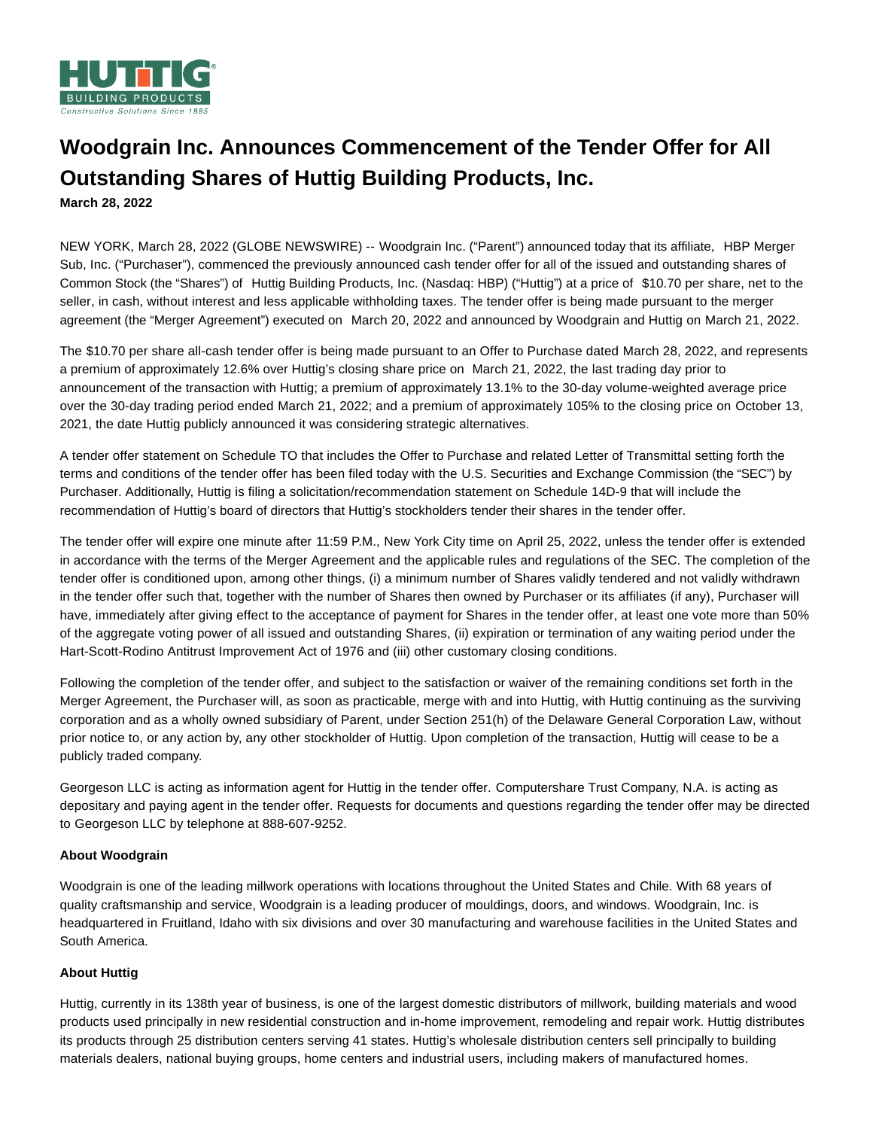

# **Woodgrain Inc. Announces Commencement of the Tender Offer for All Outstanding Shares of Huttig Building Products, Inc.**

**March 28, 2022**

NEW YORK, March 28, 2022 (GLOBE NEWSWIRE) -- Woodgrain Inc. ("Parent") announced today that its affiliate, HBP Merger Sub, Inc. ("Purchaser"), commenced the previously announced cash tender offer for all of the issued and outstanding shares of Common Stock (the "Shares") of Huttig Building Products, Inc. (Nasdaq: HBP) ("Huttig") at a price of \$10.70 per share, net to the seller, in cash, without interest and less applicable withholding taxes. The tender offer is being made pursuant to the merger agreement (the "Merger Agreement") executed on March 20, 2022 and announced by Woodgrain and Huttig on March 21, 2022.

The \$10.70 per share all-cash tender offer is being made pursuant to an Offer to Purchase dated March 28, 2022, and represents a premium of approximately 12.6% over Huttig's closing share price on March 21, 2022, the last trading day prior to announcement of the transaction with Huttig; a premium of approximately 13.1% to the 30-day volume-weighted average price over the 30-day trading period ended March 21, 2022; and a premium of approximately 105% to the closing price on October 13, 2021, the date Huttig publicly announced it was considering strategic alternatives.

A tender offer statement on Schedule TO that includes the Offer to Purchase and related Letter of Transmittal setting forth the terms and conditions of the tender offer has been filed today with the U.S. Securities and Exchange Commission (the "SEC") by Purchaser. Additionally, Huttig is filing a solicitation/recommendation statement on Schedule 14D-9 that will include the recommendation of Huttig's board of directors that Huttig's stockholders tender their shares in the tender offer.

The tender offer will expire one minute after 11:59 P.M., New York City time on April 25, 2022, unless the tender offer is extended in accordance with the terms of the Merger Agreement and the applicable rules and regulations of the SEC. The completion of the tender offer is conditioned upon, among other things, (i) a minimum number of Shares validly tendered and not validly withdrawn in the tender offer such that, together with the number of Shares then owned by Purchaser or its affiliates (if any), Purchaser will have, immediately after giving effect to the acceptance of payment for Shares in the tender offer, at least one vote more than 50% of the aggregate voting power of all issued and outstanding Shares, (ii) expiration or termination of any waiting period under the Hart-Scott-Rodino Antitrust Improvement Act of 1976 and (iii) other customary closing conditions.

Following the completion of the tender offer, and subject to the satisfaction or waiver of the remaining conditions set forth in the Merger Agreement, the Purchaser will, as soon as practicable, merge with and into Huttig, with Huttig continuing as the surviving corporation and as a wholly owned subsidiary of Parent, under Section 251(h) of the Delaware General Corporation Law, without prior notice to, or any action by, any other stockholder of Huttig. Upon completion of the transaction, Huttig will cease to be a publicly traded company.

Georgeson LLC is acting as information agent for Huttig in the tender offer. Computershare Trust Company, N.A. is acting as depositary and paying agent in the tender offer. Requests for documents and questions regarding the tender offer may be directed to Georgeson LLC by telephone at 888-607-9252.

## **About Woodgrain**

Woodgrain is one of the leading millwork operations with locations throughout the United States and Chile. With 68 years of quality craftsmanship and service, Woodgrain is a leading producer of mouldings, doors, and windows. Woodgrain, Inc. is headquartered in Fruitland, Idaho with six divisions and over 30 manufacturing and warehouse facilities in the United States and South America.

## **About Huttig**

Huttig, currently in its 138th year of business, is one of the largest domestic distributors of millwork, building materials and wood products used principally in new residential construction and in-home improvement, remodeling and repair work. Huttig distributes its products through 25 distribution centers serving 41 states. Huttig's wholesale distribution centers sell principally to building materials dealers, national buying groups, home centers and industrial users, including makers of manufactured homes.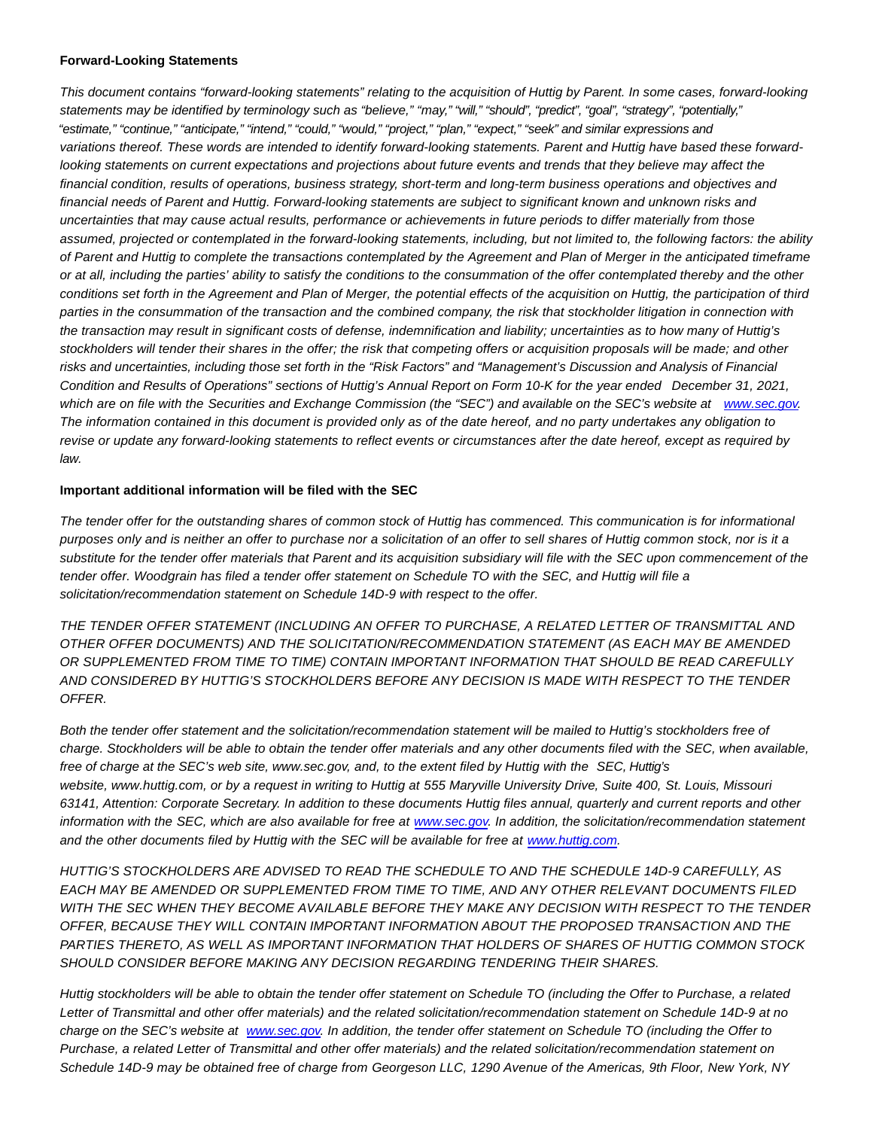#### **Forward-Looking Statements**

This document contains "forward-looking statements" relating to the acquisition of Huttig by Parent. In some cases, forward-looking statements may be identified by terminology such as "believe," "may," "will," "should", "predict", "goal", "strategy", "potentially," "estimate," "continue," "anticipate," "intend," "could," "would," "project," "plan," "expect," "seek" and similar expressions and variations thereof. These words are intended to identify forward-looking statements. Parent and Huttig have based these forwardlooking statements on current expectations and projections about future events and trends that they believe may affect the financial condition, results of operations, business strategy, short-term and long-term business operations and objectives and financial needs of Parent and Huttig. Forward-looking statements are subject to significant known and unknown risks and uncertainties that may cause actual results, performance or achievements in future periods to differ materially from those assumed, projected or contemplated in the forward-looking statements, including, but not limited to, the following factors: the ability of Parent and Huttig to complete the transactions contemplated by the Agreement and Plan of Merger in the anticipated timeframe or at all, including the parties' ability to satisfy the conditions to the consummation of the offer contemplated thereby and the other conditions set forth in the Agreement and Plan of Merger, the potential effects of the acquisition on Huttig, the participation of third parties in the consummation of the transaction and the combined company, the risk that stockholder litigation in connection with the transaction may result in significant costs of defense, indemnification and liability; uncertainties as to how many of Huttig's stockholders will tender their shares in the offer; the risk that competing offers or acquisition proposals will be made; and other risks and uncertainties, including those set forth in the "Risk Factors" and "Management's Discussion and Analysis of Financial Condition and Results of Operations" sections of Huttig's Annual Report on Form 10-K for the year ended December 31, 2021, which are on file with the Securities and Exchange Commission (the "SEC") and available on the SEC's website at [www.sec.gov.](http://www.sec.gov/) The information contained in this document is provided only as of the date hereof, and no party undertakes any obligation to revise or update any forward-looking statements to reflect events or circumstances after the date hereof, except as required by law.

#### **Important additional information will be filed with the SEC**

The tender offer for the outstanding shares of common stock of Huttig has commenced. This communication is for informational purposes only and is neither an offer to purchase nor a solicitation of an offer to sell shares of Huttig common stock, nor is it a substitute for the tender offer materials that Parent and its acquisition subsidiary will file with the SEC upon commencement of the tender offer. Woodgrain has filed a tender offer statement on Schedule TO with the SEC, and Huttig will file a solicitation/recommendation statement on Schedule 14D-9 with respect to the offer.

THE TENDER OFFER STATEMENT (INCLUDING AN OFFER TO PURCHASE, A RELATED LETTER OF TRANSMITTAL AND OTHER OFFER DOCUMENTS) AND THE SOLICITATION/RECOMMENDATION STATEMENT (AS EACH MAY BE AMENDED OR SUPPLEMENTED FROM TIME TO TIME) CONTAIN IMPORTANT INFORMATION THAT SHOULD BE READ CAREFULLY AND CONSIDERED BY HUTTIG'S STOCKHOLDERS BEFORE ANY DECISION IS MADE WITH RESPECT TO THE TENDER OFFER.

Both the tender offer statement and the solicitation/recommendation statement will be mailed to Huttig's stockholders free of charge. Stockholders will be able to obtain the tender offer materials and any other documents filed with the SEC, when available, free of charge at the SEC's web site, www.sec.gov, and, to the extent filed by Huttig with the SEC, Huttig's website, www.huttig.com, or by a request in writing to Huttig at 555 Maryville University Drive, Suite 400, St. Louis, Missouri 63141, Attention: Corporate Secretary. In addition to these documents Huttig files annual, quarterly and current reports and other information with the SEC, which are also available for free at [www.sec.gov.](http://www.sec.gov/) In addition, the solicitation/recommendation statement and the other documents filed by Huttig with the SEC will be available for free at [www.huttig.com.](http://www.huttig.com/)

HUTTIG'S STOCKHOLDERS ARE ADVISED TO READ THE SCHEDULE TO AND THE SCHEDULE 14D-9 CAREFULLY, AS EACH MAY BE AMENDED OR SUPPLEMENTED FROM TIME TO TIME, AND ANY OTHER RELEVANT DOCUMENTS FILED WITH THE SEC WHEN THEY BECOME AVAILABLE BEFORE THEY MAKE ANY DECISION WITH RESPECT TO THE TENDER OFFER, BECAUSE THEY WILL CONTAIN IMPORTANT INFORMATION ABOUT THE PROPOSED TRANSACTION AND THE PARTIES THERETO, AS WELL AS IMPORTANT INFORMATION THAT HOLDERS OF SHARES OF HUTTIG COMMON STOCK SHOULD CONSIDER BEFORE MAKING ANY DECISION REGARDING TENDERING THEIR SHARES.

Huttig stockholders will be able to obtain the tender offer statement on Schedule TO (including the Offer to Purchase, a related Letter of Transmittal and other offer materials) and the related solicitation/recommendation statement on Schedule 14D-9 at no charge on the SEC's website at [www.sec.gov.](http://www.sec.gov/) In addition, the tender offer statement on Schedule TO (including the Offer to Purchase, a related Letter of Transmittal and other offer materials) and the related solicitation/recommendation statement on Schedule 14D-9 may be obtained free of charge from Georgeson LLC, 1290 Avenue of the Americas, 9th Floor, New York, NY